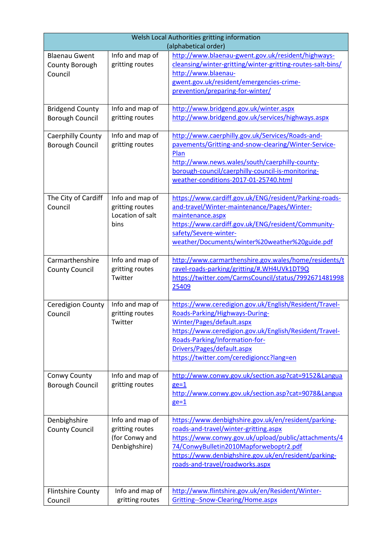| Welsh Local Authorities gritting information<br>(alphabetical order) |                                                                                          |                                                                                                                                                                                                                                                                                                                                                |  |
|----------------------------------------------------------------------|------------------------------------------------------------------------------------------|------------------------------------------------------------------------------------------------------------------------------------------------------------------------------------------------------------------------------------------------------------------------------------------------------------------------------------------------|--|
| <b>Blaenau Gwent</b><br>County Borough<br>Council                    | Info and map of<br>gritting routes                                                       | http://www.blaenau-gwent.gov.uk/resident/highways-<br>cleansing/winter-gritting/winter-gritting-routes-salt-bins/<br>http://www.blaenau-<br>gwent.gov.uk/resident/emergencies-crime-<br>prevention/preparing-for-winter/                                                                                                                       |  |
| <b>Bridgend County</b><br><b>Borough Council</b>                     | Info and map of<br>gritting routes                                                       | http://www.bridgend.gov.uk/winter.aspx<br>http://www.bridgend.gov.uk/services/highways.aspx                                                                                                                                                                                                                                                    |  |
| Caerphilly County<br><b>Borough Council</b>                          | Info and map of<br>gritting routes                                                       | http://www.caerphilly.gov.uk/Services/Roads-and-<br>pavements/Gritting-and-snow-clearing/Winter-Service-<br>Plan<br>http://www.news.wales/south/caerphilly-county-<br>borough-council/caerphilly-council-is-monitoring-<br>weather-conditions-2017-01-25740.html                                                                               |  |
| The City of Cardiff<br>Council                                       | Info and map of<br>gritting routes<br>Location of salt<br>bins                           | https://www.cardiff.gov.uk/ENG/resident/Parking-roads-<br>and-travel/Winter-maintenance/Pages/Winter-<br>maintenance.aspx<br>https://www.cardiff.gov.uk/ENG/resident/Community-<br>safety/Severe-winter-<br>weather/Documents/winter%20weather%20guide.pdf                                                                                     |  |
| Carmarthenshire<br><b>County Council</b>                             | Info and map of<br>gritting routes<br>Twitter                                            | http://www.carmarthenshire.gov.wales/home/residents/t<br>ravel-roads-parking/gritting/#.WH4UVk1DT9Q<br>https://twitter.com/CarmsCouncil/status/7992671481998<br>25409                                                                                                                                                                          |  |
| <b>Ceredigion County</b><br>Council                                  | Info and map of<br>gritting routes<br>Twitter                                            | https://www.ceredigion.gov.uk/English/Resident/Travel-<br>Roads-Parking/Highways-During-<br>Winter/Pages/default.aspx<br>https://www.ceredigion.gov.uk/English/Resident/Travel-<br>Roads-Parking/Information-for-<br>Drivers/Pages/default.aspx<br>https://twitter.com/ceredigioncc?lang=en                                                    |  |
| Conwy County<br><b>Borough Council</b>                               | Info and map of<br>gritting routes                                                       | http://www.conwy.gov.uk/section.asp?cat=9152&Langua<br>$ge=1$<br>http://www.conwy.gov.uk/section.asp?cat=9078&Langua<br>$ge=1$                                                                                                                                                                                                                 |  |
| Denbighshire<br><b>County Council</b><br><b>Flintshire County</b>    | Info and map of<br>gritting routes<br>(for Conwy and<br>Denbighshire)<br>Info and map of | https://www.denbighshire.gov.uk/en/resident/parking-<br>roads-and-travel/winter-gritting.aspx<br>https://www.conwy.gov.uk/upload/public/attachments/4<br>74/ConwyBulletin2010Mapforweboptr2.pdf<br>https://www.denbighshire.gov.uk/en/resident/parking-<br>roads-and-travel/roadworks.aspx<br>http://www.flintshire.gov.uk/en/Resident/Winter- |  |
| Council                                                              | gritting routes                                                                          | Gritting--Snow-Clearing/Home.aspx                                                                                                                                                                                                                                                                                                              |  |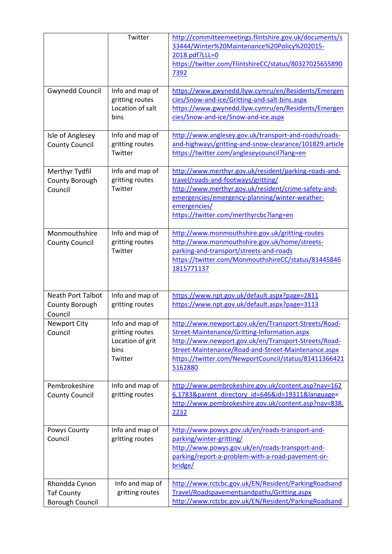|                                                              | Twitter                                                                   | http://committeemeetings.flintshire.gov.uk/documents/s<br>33444/Winter%20Maintenance%20Policy%202015-<br>2018.pdf?LLL=0<br>https://twitter.com/FlintshireCC/status/80327025655890<br>7392                                                                                               |
|--------------------------------------------------------------|---------------------------------------------------------------------------|-----------------------------------------------------------------------------------------------------------------------------------------------------------------------------------------------------------------------------------------------------------------------------------------|
| <b>Gwynedd Council</b>                                       | Info and map of<br>gritting routes<br>Location of salt<br>bins            | https://www.gwynedd.llyw.cymru/en/Residents/Emergen<br>cies/Snow-and-ice/Gritting-and-salt-bins.aspx<br>https://www.gwynedd.llyw.cymru/en/Residents/Emergen<br>cies/Snow-and-ice/Snow-and-ice.aspx                                                                                      |
| Isle of Anglesey<br><b>County Council</b>                    | Info and map of<br>gritting routes<br>Twitter                             | http://www.anglesey.gov.uk/transport-and-roads/roads-<br>and-highways/gritting-and-snow-clearance/101829.article<br>https://twitter.com/angleseycouncil?lang=en                                                                                                                         |
| Merthyr Tydfil<br>County Borough<br>Council                  | Info and map of<br>gritting routes<br>Twitter                             | http://www.merthyr.gov.uk/resident/parking-roads-and-<br>travel/roads-and-footways/gritting/<br>http://www.merthyr.gov.uk/resident/crime-safety-and-<br>emergencies/emergency-planning/winter-weather-<br>emergencies/<br>https://twitter.com/merthyrcbc?lang=en                        |
| Monmouthshire<br><b>County Council</b>                       | Info and map of<br>gritting routes<br>Twitter                             | http://www.monmouthshire.gov.uk/gritting-routes<br>http://www.monmouthshire.gov.uk/home/streets-<br>parking-and-transport/streets-and-roads<br>https://twitter.com/MonmouthshireCC/status/81445846<br>1815771137                                                                        |
| <b>Neath Port Talbot</b><br>County Borough<br>Council        | Info and map of<br>gritting routes                                        | https://www.npt.gov.uk/default.aspx?page=2811<br>https://www.npt.gov.uk/default.aspx?page=3113                                                                                                                                                                                          |
| <b>Newport City</b><br>Council                               | Info and map of<br>gritting routes<br>Location of grit<br>bins<br>Twitter | http://www.newport.gov.uk/en/Transport-Streets/Road-<br>Street-Maintenance/Gritting-Information.aspx<br>http://www.newport.gov.uk/en/Transport-Streets/Road-<br>Street-Maintenance/Road-and-Street-Maintenance.aspx<br>https://twitter.com/NewportCouncil/status/81411366421<br>5162880 |
| Pembrokeshire<br><b>County Council</b>                       | Info and map of<br>gritting routes                                        | http://www.pembrokeshire.gov.uk/content.asp?nav=162<br>6,1783&parent_directory_id=646&id=19311&language=<br>http://www.pembrokeshire.gov.uk/content.asp?nav=838,<br>2232                                                                                                                |
| Powys County<br>Council                                      | Info and map of<br>gritting routes                                        | http://www.powys.gov.uk/en/roads-transport-and-<br>parking/winter-gritting/<br>http://www.powys.gov.uk/en/roads-transport-and-<br>parking/report-a-problem-with-a-road-pavement-or-<br>bridge/                                                                                          |
| Rhondda Cynon<br><b>Taf County</b><br><b>Borough Council</b> | Info and map of<br>gritting routes                                        | http://www.rctcbc.gov.uk/EN/Resident/ParkingRoadsand<br>Travel/Roadspavementsandpaths/Gritting.aspx<br>http://www.rctcbc.gov.uk/EN/Resident/ParkingRoadsand                                                                                                                             |